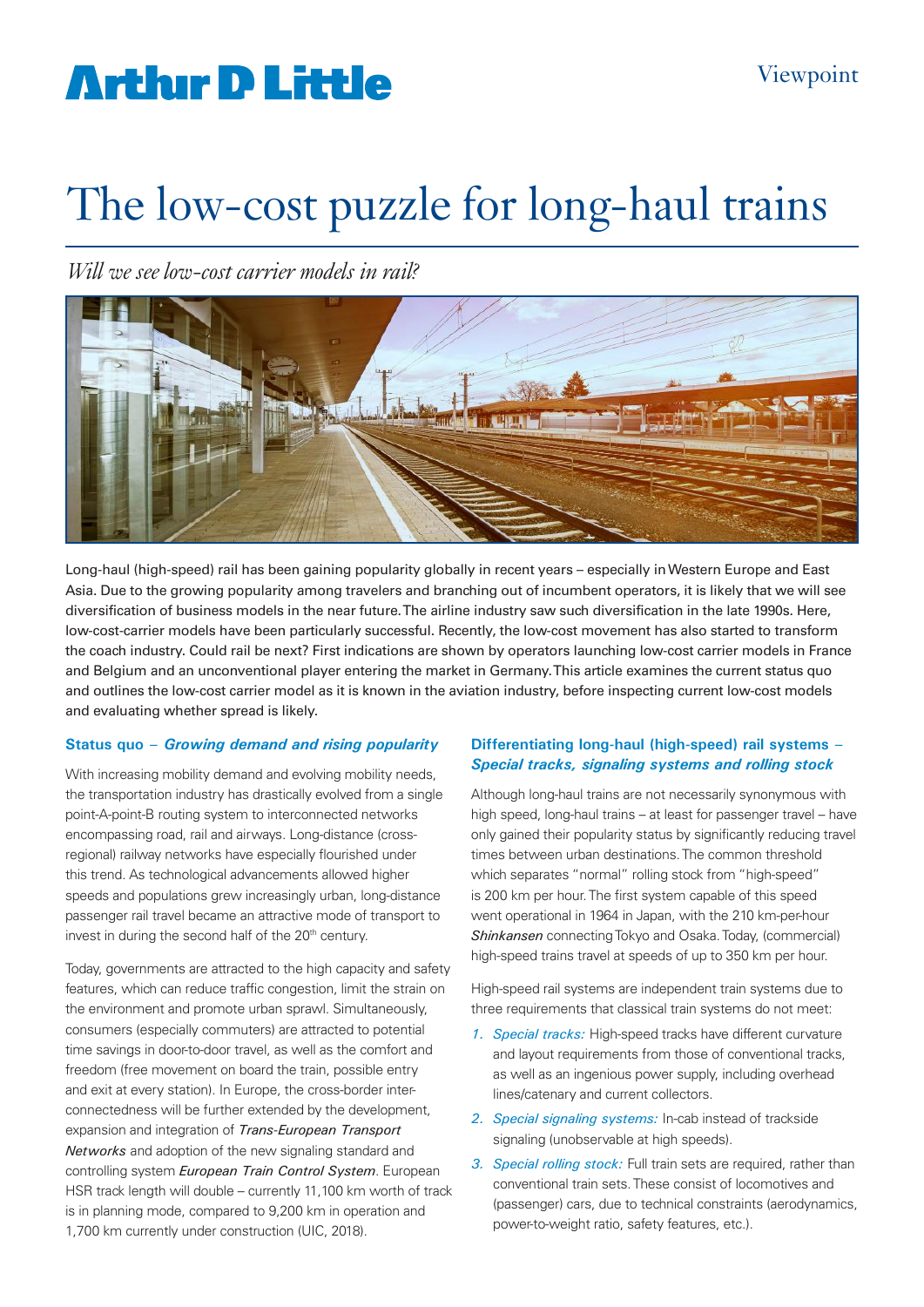# **Arthur D Little**

# The low-cost puzzle for long-haul trains

*Will we see low-cost carrier models in rail?*



Long-haul (high-speed) rail has been gaining popularity globally in recent years – especially in Western Europe and East Asia. Due to the growing popularity among travelers and branching out of incumbent operators, it is likely that we will see diversification of business models in the near future. The airline industry saw such diversification in the late 1990s. Here, low-cost-carrier models have been particularly successful. Recently, the low-cost movement has also started to transform the coach industry. Could rail be next? First indications are shown by operators launching low-cost carrier models in France and Belgium and an unconventional player entering the market in Germany. This article examines the current status quo and outlines the low-cost carrier model as it is known in the aviation industry, before inspecting current low-cost models and evaluating whether spread is likely.

#### **Status quo –** *Growing demand and rising popularity*

With increasing mobility demand and evolving mobility needs, the transportation industry has drastically evolved from a single point-A-point-B routing system to interconnected networks encompassing road, rail and airways. Long-distance (crossregional) railway networks have especially flourished under this trend. As technological advancements allowed higher speeds and populations grew increasingly urban, long-distance passenger rail travel became an attractive mode of transport to invest in during the second half of the 20<sup>th</sup> century.

Today, governments are attracted to the high capacity and safety features, which can reduce traffic congestion, limit the strain on the environment and promote urban sprawl. Simultaneously, consumers (especially commuters) are attracted to potential time savings in door-to-door travel, as well as the comfort and freedom (free movement on board the train, possible entry and exit at every station). In Europe, the cross-border interconnectedness will be further extended by the development, expansion and integration of *Trans-European Transport Networks* and adoption of the new signaling standard and controlling system *European Train Control System*. European HSR track length will double – currently 11,100 km worth of track is in planning mode, compared to 9,200 km in operation and 1,700 km currently under construction (UIC, 2018).

## **Differentiating long-haul (high-speed) rail systems –**  *Special tracks, signaling systems and rolling stock*

Although long-haul trains are not necessarily synonymous with high speed, long-haul trains – at least for passenger travel – have only gained their popularity status by significantly reducing travel times between urban destinations. The common threshold which separates "normal" rolling stock from "high-speed" is 200 km per hour. The first system capable of this speed went operational in 1964 in Japan, with the 210 km-per-hour *Shinkansen* connecting Tokyo and Osaka. Today, (commercial) high-speed trains travel at speeds of up to 350 km per hour.

High-speed rail systems are independent train systems due to three requirements that classical train systems do not meet:

- *1. Special tracks:* High-speed tracks have different curvature and layout requirements from those of conventional tracks, as well as an ingenious power supply, including overhead lines/catenary and current collectors.
- *2. Special signaling systems:* In-cab instead of trackside signaling (unobservable at high speeds).
- *3. Special rolling stock:* Full train sets are required, rather than conventional train sets. These consist of locomotives and (passenger) cars, due to technical constraints (aerodynamics, power-to-weight ratio, safety features, etc.).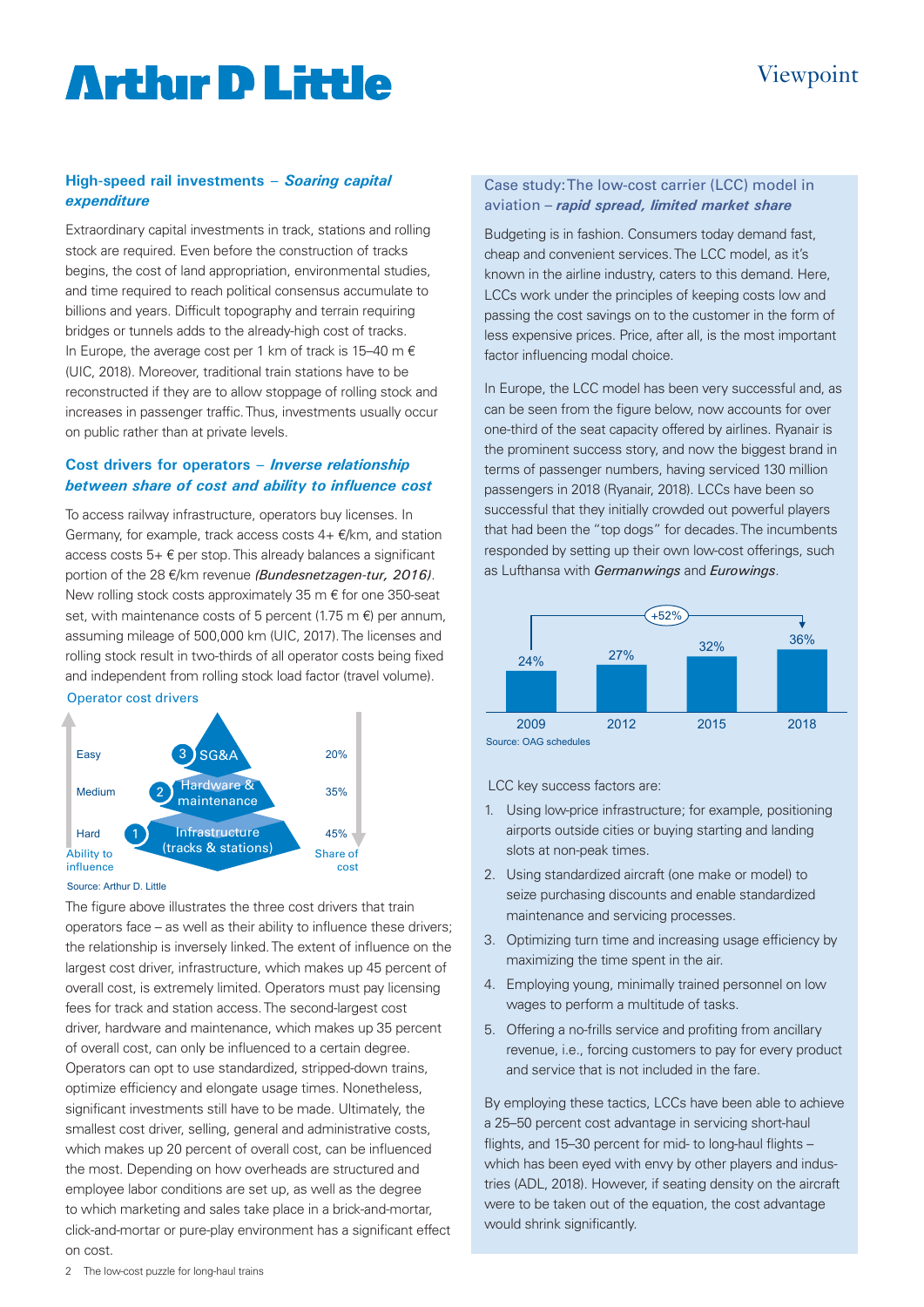# **Artlur D Little**

## **High-speed rail investments –** *Soaring capital expenditure*

Extraordinary capital investments in track, stations and rolling stock are required. Even before the construction of tracks begins, the cost of land appropriation, environmental studies, and time required to reach political consensus accumulate to billions and years. Difficult topography and terrain requiring bridges or tunnels adds to the already-high cost of tracks. In Europe, the average cost per 1 km of track is 15–40 m  $\epsilon$ (UIC, 2018). Moreover, traditional train stations have to be reconstructed if they are to allow stoppage of rolling stock and increases in passenger traffic. Thus, investments usually occur on public rather than at private levels.

## **Cost drivers for operators –** *Inverse relationship between share of cost and ability to influence cost*

To access railway infrastructure, operators buy licenses. In Germany, for example, track access costs  $4 + \epsilon/km$ , and station access costs  $5+ \epsilon$  per stop. This already balances a significant portion of the 28 €/km revenue *(Bundesnetzagen-tur, 2016)*. New rolling stock costs approximately 35 m € for one 350-seat set, with maintenance costs of 5 percent (1.75 m  $\epsilon$ ) per annum, assuming mileage of 500,000 km (UIC, 2017). The licenses and rolling stock result in two-thirds of all operator costs being fixed and independent from rolling stock load factor (travel volume).

#### Operator cost drivers



#### Source: Arthur D. Little

The figure above illustrates the three cost drivers that train operators face – as well as their ability to influence these drivers; the relationship is inversely linked. The extent of influence on the largest cost driver, infrastructure, which makes up 45 percent of overall cost, is extremely limited. Operators must pay licensing fees for track and station access. The second-largest cost driver, hardware and maintenance, which makes up 35 percent of overall cost, can only be influenced to a certain degree. Operators can opt to use standardized, stripped-down trains, optimize efficiency and elongate usage times. Nonetheless, significant investments still have to be made. Ultimately, the smallest cost driver, selling, general and administrative costs, which makes up 20 percent of overall cost, can be influenced the most. Depending on how overheads are structured and employee labor conditions are set up, as well as the degree to which marketing and sales take place in a brick-and-mortar, click-and-mortar or pure-play environment has a significant effect on cost.

### Case study: The low-cost carrier (LCC) model in aviation – *rapid spread, limited market share*

Budgeting is in fashion. Consumers today demand fast, cheap and convenient services. The LCC model, as it's known in the airline industry, caters to this demand. Here, LCCs work under the principles of keeping costs low and passing the cost savings on to the customer in the form of less expensive prices. Price, after all, is the most important factor influencing modal choice.

In Europe, the LCC model has been very successful and, as can be seen from the figure below, now accounts for over one-third of the seat capacity offered by airlines. Ryanair is the prominent success story, and now the biggest brand in terms of passenger numbers, having serviced 130 million passengers in 2018 (Ryanair, 2018). LCCs have been so successful that they initially crowded out powerful players that had been the "top dogs" for decades. The incumbents responded by setting up their own low-cost offerings, such as Lufthansa with *Germanwings* and *Eurowings*.



LCC key success factors are:

- 1. Using low-price infrastructure; for example, positioning airports outside cities or buying starting and landing slots at non-peak times.
- 2. Using standardized aircraft (one make or model) to seize purchasing discounts and enable standardized maintenance and servicing processes.
- 3. Optimizing turn time and increasing usage efficiency by maximizing the time spent in the air.
- 4. Employing young, minimally trained personnel on low wages to perform a multitude of tasks.
- 5. Offering a no-frills service and profiting from ancillary revenue, i.e., forcing customers to pay for every product and service that is not included in the fare.

By employing these tactics, LCCs have been able to achieve a 25–50 percent cost advantage in servicing short-haul flights, and 15–30 percent for mid- to long-haul flights – which has been eyed with envy by other players and industries (ADL, 2018). However, if seating density on the aircraft were to be taken out of the equation, the cost advantage would shrink significantly.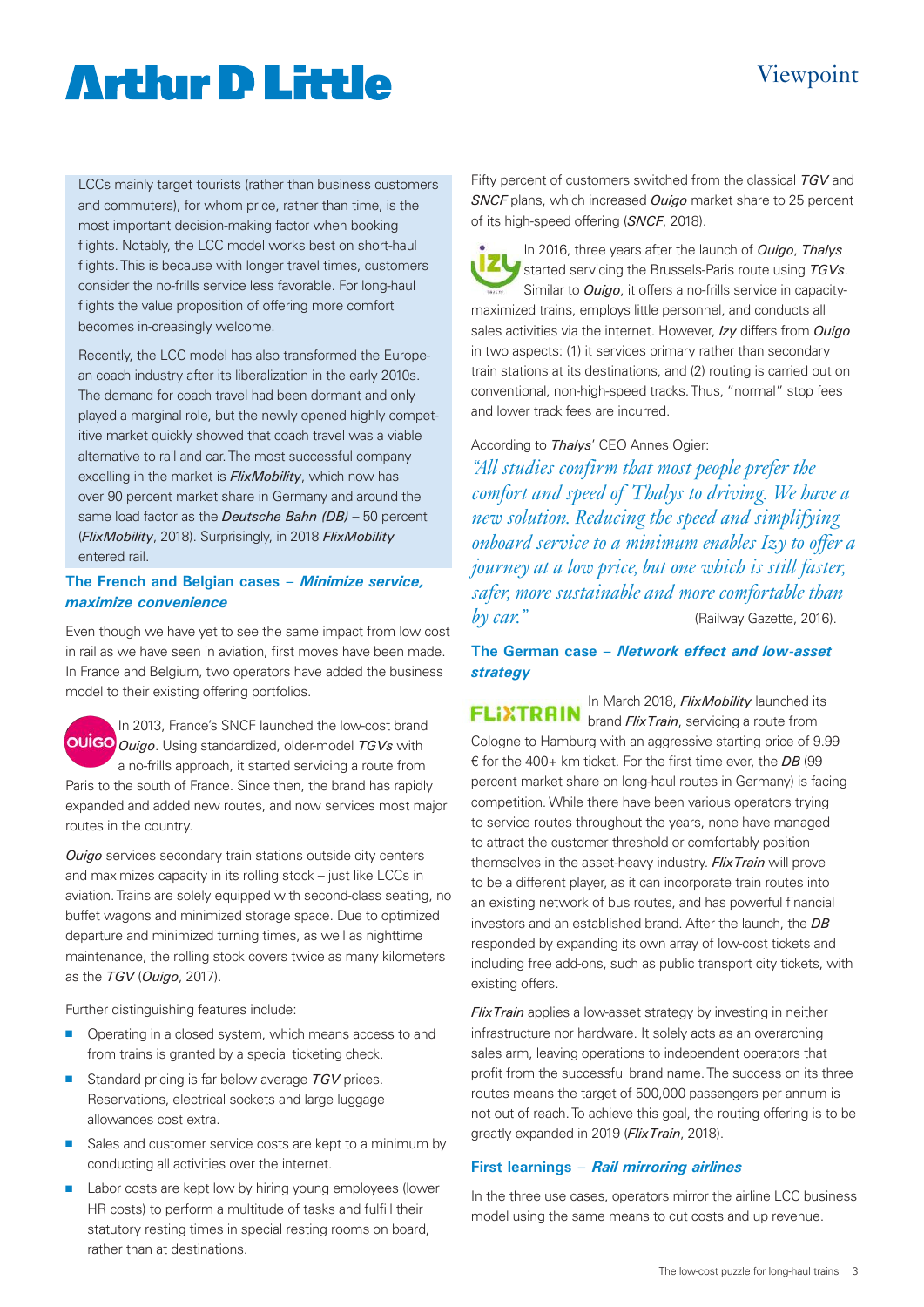# Viewpoint

# **Artlur D Little**

LCCs mainly target tourists (rather than business customers and commuters), for whom price, rather than time, is the most important decision-making factor when booking flights. Notably, the LCC model works best on short-haul flights. This is because with longer travel times, customers consider the no-frills service less favorable. For long-haul flights the value proposition of offering more comfort becomes in-creasingly welcome.

Recently, the LCC model has also transformed the European coach industry after its liberalization in the early 2010s. The demand for coach travel had been dormant and only played a marginal role, but the newly opened highly competitive market quickly showed that coach travel was a viable alternative to rail and car. The most successful company excelling in the market is *FlixMobility*, which now has over 90 percent market share in Germany and around the same load factor as the *Deutsche Bahn (DB)* – 50 percent (*FlixMobility*, 2018). Surprisingly, in 2018 *FlixMobility* entered rail.

### **The French and Belgian cases –** *Minimize service, maximize convenience*

Even though we have yet to see the same impact from low cost in rail as we have seen in aviation, first moves have been made. In France and Belgium, two operators have added the business model to their existing offering portfolios.

In 2013, France's SNCF launched the low-cost brand *Ouigo*. Using standardized, older-model *TGVs* with a no-frills approach, it started servicing a route from Paris to the south of France. Since then, the brand has rapidly expanded and added new routes, and now services most major routes in the country.

*Ouigo* services secondary train stations outside city centers and maximizes capacity in its rolling stock – just like LCCs in aviation. Trains are solely equipped with second-class seating, no buffet wagons and minimized storage space. Due to optimized departure and minimized turning times, as well as nighttime maintenance, the rolling stock covers twice as many kilometers as the *TGV* (*Ouigo*, 2017).

Further distinguishing features include:

- **n** Operating in a closed system, which means access to and from trains is granted by a special ticketing check.
- Standard pricing is far below average **TGV** prices. Reservations, electrical sockets and large luggage allowances cost extra.
- sales and customer service costs are kept to a minimum by conducting all activities over the internet.
- **n** Labor costs are kept low by hiring young employees (lower HR costs) to perform a multitude of tasks and fulfill their statutory resting times in special resting rooms on board, rather than at destinations.

Fifty percent of customers switched from the classical *TGV* and *SNCF* plans, which increased *Ouigo* market share to 25 percent of its high-speed offering (*SNCF*, 2018).

In 2016, three years after the launch of *Ouigo*, *Thalys* **EXAMPLE STARTS STARTS IN STARTS IN STARTS STARTS TO USING THE STARTS STARTS TO USING THE STARTS STARTS STARTS** Similar to *Ouigo*, it offers a no-frills service in capacitymaximized trains, employs little personnel, and conducts all sales activities via the internet. However, *Izy* differs from *Ouigo* in two aspects: (1) it services primary rather than secondary train stations at its destinations, and (2) routing is carried out on conventional, non-high-speed tracks. Thus, "normal" stop fees and lower track fees are incurred.

According to *Thalys*' CEO Annes Ogier:

*"All studies confirm that most people prefer the comfort and speed of Thalys to driving. We have a new solution. Reducing the speed and simplifying onboard service to a minimum enables Izy to offer a journey at a low price, but one which is still faster, safer, more sustainable and more comfortable than by car.*" (Railway Gazette, 2016).

**The German case –** *Network effect and low-asset strategy*

In March 2018, *FlixMobility* launched its brand *FlixTrain*, servicing a route from Cologne to Hamburg with an aggressive starting price of 9.99 € for the 400+ km ticket. For the first time ever, the *DB* (99 percent market share on long-haul routes in Germany) is facing competition. While there have been various operators trying to service routes throughout the years, none have managed to attract the customer threshold or comfortably position themselves in the asset-heavy industry. *FlixTrain* will prove to be a different player, as it can incorporate train routes into an existing network of bus routes, and has powerful financial investors and an established brand. After the launch, the *DB* responded by expanding its own array of low-cost tickets and including free add-ons, such as public transport city tickets, with existing offers.

*FlixTrain* applies a low-asset strategy by investing in neither infrastructure nor hardware. It solely acts as an overarching sales arm, leaving operations to independent operators that profit from the successful brand name. The success on its three routes means the target of 500,000 passengers per annum is not out of reach. To achieve this goal, the routing offering is to be greatly expanded in 2019 (*FlixTrain*, 2018).

## **First learnings –** *Rail mirroring airlines*

In the three use cases, operators mirror the airline LCC business model using the same means to cut costs and up revenue.